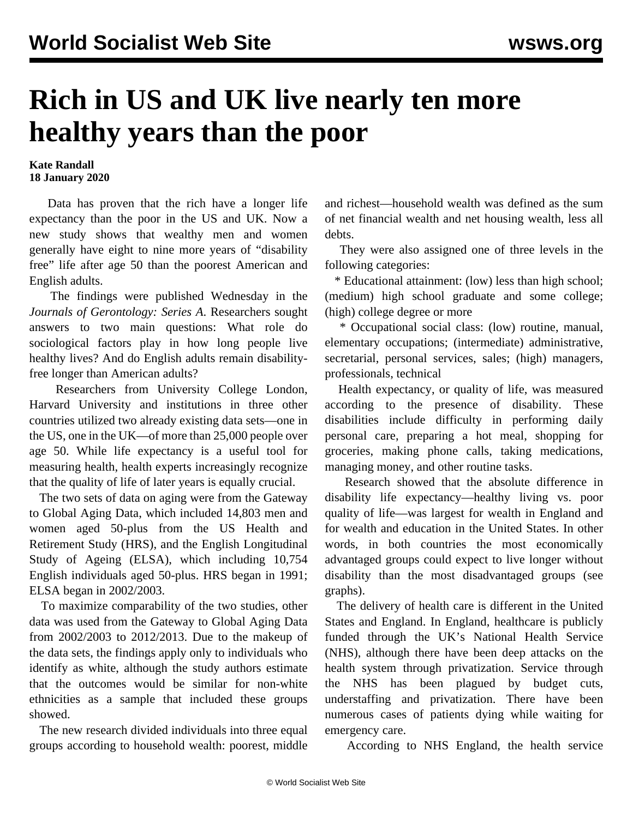## **Rich in US and UK live nearly ten more healthy years than the poor**

## **Kate Randall 18 January 2020**

 Data has proven that the rich have a longer life expectancy than the poor in the US and UK. Now a new study shows that wealthy men and women generally have eight to nine more years of "disability free" life after age 50 than the poorest American and English adults.

 The [findings](/share/page/site/wsws/Socioeconomic%20Inequalities%20in%20Disability-free%20Life%20Expectancy%20in%20Older%20People%20from%20England%20and%20the%20Unit…) were published Wednesday in the *Journals of Gerontology: Series A*. Researchers sought answers to two main questions: What role do sociological factors play in how long people live healthy lives? And do English adults remain disabilityfree longer than American adults?

 Researchers from University College London, Harvard University and institutions in three other countries utilized two already existing data sets—one in the US, one in the UK—of more than 25,000 people over age 50. While life expectancy is a useful tool for measuring health, health experts increasingly recognize that the quality of life of later years is equally crucial.

 The two sets of data on aging were from the Gateway to Global Aging Data, which included 14,803 men and women aged 50-plus from the US Health and Retirement Study (HRS), and the English Longitudinal Study of Ageing (ELSA), which including 10,754 English individuals aged 50-plus. HRS began in 1991; ELSA began in 2002/2003.

 To maximize comparability of the two studies, other data was used from the Gateway to Global Aging Data from 2002/2003 to 2012/2013. Due to the makeup of the data sets, the findings apply only to individuals who identify as white, although the study authors estimate that the outcomes would be similar for non-white ethnicities as a sample that included these groups showed.

 The new research divided individuals into three equal groups according to household wealth: poorest, middle and richest—household wealth was defined as the sum of net financial wealth and net housing wealth, less all debts.

 They were also assigned one of three levels in the following categories:

 \* Educational attainment: (low) less than high school; (medium) high school graduate and some college; (high) college degree or more

 \* Occupational social class: (low) routine, manual, elementary occupations; (intermediate) administrative, secretarial, personal services, sales; (high) managers, professionals, technical

 Health expectancy, or quality of life, was measured according to the presence of disability. These disabilities include difficulty in performing daily personal care, preparing a hot meal, shopping for groceries, making phone calls, taking medications, managing money, and other routine tasks.

 Research showed that the absolute difference in disability life expectancy—healthy living vs. poor quality of life—was largest for wealth in England and for wealth and education in the United States. In other words, in both countries the most economically advantaged groups could expect to live longer without disability than the most disadvantaged groups (see graphs).

 The delivery of health care is different in the United States and England. In England, healthcare is publicly funded through the UK's National Health Service (NHS), although there have been deep attacks on the health system through privatization. Service through the [NHS](/en/articles/2020/01/07/nhsl-j07.html) has been plagued by budget cuts, understaffing and privatization. There have been numerous cases of patients dying while waiting for emergency care.

According to NHS England, the [health service](/en/articles/2019/12/31/heal-d31.html)